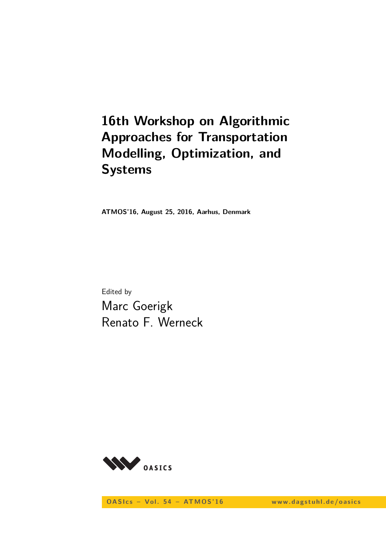# **16th Workshop on Algorithmic Approaches for Transportation Modelling, Optimization, and Systems**

**ATMOS'16, August 25, 2016, Aarhus, Denmark**

Edited by Marc Goerigk Renato F. Werneck



**OASIcs - Vol. 54 - ATMOS'16** www.dagstuhl.de/oasics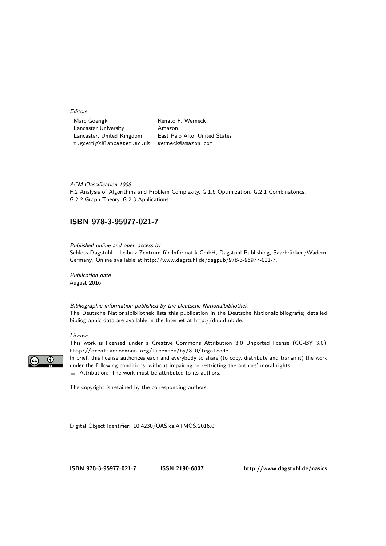Editors

Marc Goerigk **Renato F. Werneck** Lancaster University Amazon Lancaster, United Kingdom East Palo Alto, United States m.goerigk@lancaster.ac.uk werneck@amazon.com

ACM Classification 1998 F.2 Analysis of Algorithms and Problem Complexity, G.1.6 Optimization, G.2.1 Combinatorics, G.2.2 Graph Theory, G.2.3 Applications

### **[ISBN 978-3-95977-021-7](http://www.dagstuhl.de/dagpub/978-3-95977-021-7)**

Published online and open access by Schloss Dagstuhl – Leibniz-Zentrum für Informatik GmbH, Dagstuhl Publishing, Saarbrücken/Wadern, Germany. Online available at [http://www.dagstuhl.de/dagpub/978-3-95977-021-7.](http://www.dagstuhl.de/dagpub/978-3-95977-021-7)

Publication date August 2016

Bibliographic information published by the Deutsche Nationalbibliothek The Deutsche Nationalbibliothek lists this publication in the Deutsche Nationalbibliografie; detailed bibliographic data are available in the Internet at [http://dnb.d-nb.de.](http://dnb.d-nb.de)

#### License

This work is licensed under a Creative Commons Attribution 3.0 Unported license (CC-BY 3.0):



http://creativecommons.org/licenses/by/3.0/legalcode. In brief, this license authorizes each and everybody to share (to copy, distribute and transmit) the work

under the following conditions, without impairing or restricting the authors' moral rights: Attribution: The work must be attributed to its authors.

The copyright is retained by the corresponding authors.

Digital Object Identifier: [10.4230/OASIcs.ATMOS.2016.0](http://dx.doi.org/10.4230/OASIcs.ATMOS.2016.0)

**[ISBN 978-3-95977-021-7](http://www.dagstuhl.de/dagpub/978-3-95977-021-7) [ISSN 2190-6807](http://drops.dagstuhl.de/oasics)<http://www.dagstuhl.de/oasics>**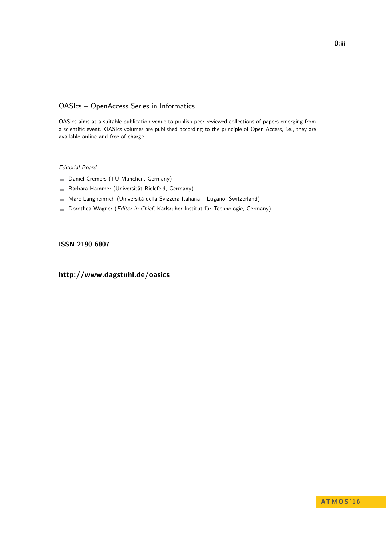# OASIcs – OpenAccess Series in Informatics

OASIcs aims at a suitable publication venue to publish peer-reviewed collections of papers emerging from a scientific event. OASIcs volumes are published according to the principle of Open Access, i.e., they are available online and free of charge.

### Editorial Board

- Daniel Cremers (TU München, Germany)
- Barbara Hammer (Universität Bielefeld, Germany)  $\frac{1}{2}$
- Marc Langheinrich (Università della Svizzera Italiana Lugano, Switzerland)
- Dorothea Wagner (Editor-in-Chief, Karlsruher Institut für Technologie, Germany)  $\blacksquare$

### **[ISSN 2190-6807](http://www.dagstuhl.de/dagpub/2190-6807)**

# **<http://www.dagstuhl.de/oasics>**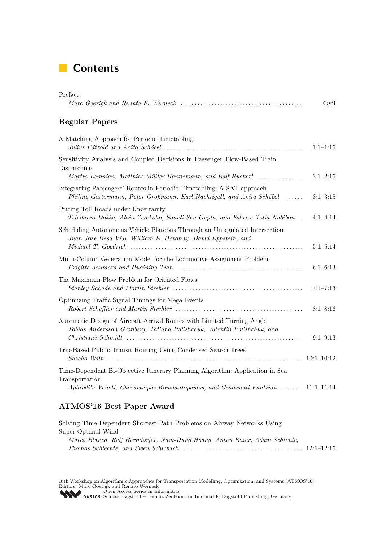# **Contents**

| Preface                                                                                                                                                                                                         | $0:$ vii     |
|-----------------------------------------------------------------------------------------------------------------------------------------------------------------------------------------------------------------|--------------|
| <b>Regular Papers</b>                                                                                                                                                                                           |              |
| A Matching Approach for Periodic Timetabling                                                                                                                                                                    | $1:1-1:15$   |
| Sensitivity Analysis and Coupled Decisions in Passenger Flow-Based Train<br>Dispatching                                                                                                                         | $2:1-2:15$   |
| Martin Lemnian, Matthias Müller-Hannemann, and Ralf Rückert<br>Integrating Passengers' Routes in Periodic Timetabling: A SAT approach<br>Philine Gattermann, Peter Großmann, Karl Nachtigall, and Anita Schöbel | $3:1-3:15$   |
| Pricing Toll Roads under Uncertainty<br>Trivikram Dokka, Alain Zemkoho, Sonali Sen Gupta, and Fabrice Talla Nobibon.                                                                                            | $4:1-4:14$   |
| Scheduling Autonomous Vehicle Platoons Through an Unregulated Intersection<br>Juan José Besa Vial, William E. Devanny, David Eppstein, and                                                                      | $5:1-5:14$   |
| Multi-Column Generation Model for the Locomotive Assignment Problem                                                                                                                                             | $6:1-6:13$   |
| The Maximum Flow Problem for Oriented Flows                                                                                                                                                                     | $7:1 - 7:13$ |
| Optimizing Traffic Signal Timings for Mega Events                                                                                                                                                               | $8:1 - 8:16$ |
| Automatic Design of Aircraft Arrival Routes with Limited Turning Angle<br>Tobias Andersson Granberg, Tatiana Polishchuk, Valentin Polishchuk, and                                                               | $9:1-9:13$   |
| Trip-Based Public Transit Routing Using Condensed Search Trees                                                                                                                                                  |              |
| Time-Dependent Bi-Objective Itinerary Planning Algorithm: Application in Sea<br>Transportation<br>Aphrodite Veneti, Charalampos Konstantopoulos, and Grammati Pantziou  11:1-11:14                              |              |
|                                                                                                                                                                                                                 |              |

# **ATMOS'16 Best Paper Award**

| Solving Time Dependent Shortest Path Problems on Airway Networks Using     |  |
|----------------------------------------------------------------------------|--|
| Super-Optimal Wind                                                         |  |
| Marco Blanco, Ralf Borndörfer, Nam-Dũng Hoang, Anton Kaier, Adam Schienle, |  |
|                                                                            |  |

16th Workshop on Algorithmic Approaches for Transportation Modelling, Optimization, and Systems (ATMOS'16).<br>Editors: Marc Goerigk and Renato Werneck<br>[Open Access Series in Informatics](http://www.dagstuhl.de/en/publications/oasics/)<br> **OASICS** Schloss Dagstuhl – Leibniz-Ze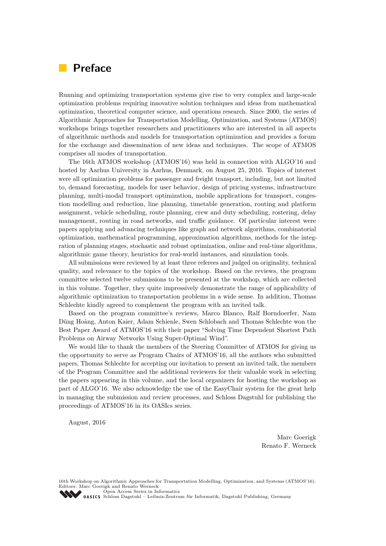# **Preface**

Running and optimizing transportation systems give rise to very complex and large-scale optimization problems requiring innovative solution techniques and ideas from mathematical optimization, theoretical computer science, and operations research. Since 2000, the series of Algorithmic Approaches for Transportation Modelling, Optimization, and Systems (ATMOS) workshops brings together researchers and practitioners who are interested in all aspects of algorithmic methods and models for transportation optimization and provides a forum for the exchange and dissemination of new ideas and techniques. The scope of ATMOS comprises all modes of transportation.

The 16th ATMOS workshop (ATMOS'16) was held in connection with ALGO'16 and hosted by Aarhus University in Aarhus, Denmark, on August 25, 2016. Topics of interest were all optimization problems for passenger and freight transport, including, but not limited to, demand forecasting, models for user behavior, design of pricing systems, infrastructure planning, multi-modal transport optimization, mobile applications for transport, congestion modelling and reduction, line planning, timetable generation, routing and platform assignment, vehicle scheduling, route planning, crew and duty scheduling, rostering, delay management, routing in road networks, and traffic guidance. Of particular interest were papers applying and advancing techniques like graph and network algorithms, combinatorial optimization, mathematical programming, approximation algorithms, methods for the integration of planning stages, stochastic and robust optimization, online and real-time algorithms, algorithmic game theory, heuristics for real-world instances, and simulation tools.

All submissions were reviewed by at least three referees and judged on originality, technical quality, and relevance to the topics of the workshop. Based on the reviews, the program committee selected twelve submissions to be presented at the workshop, which are collected in this volume. Together, they quite impressively demonstrate the range of applicability of algorithmic optimization to transportation problems in a wide sense. In addition, Thomas Schlechte kindly agreed to complement the program with an invited talk.

Based on the program committee's reviews, Marco Blanco, Ralf Borndoerfer, Nam D˜ung Hoàng, Anton Kaier, Adam Schienle, Swen Schlobach and Thomas Schlechte won the Best Paper Award of ATMOS'16 with their paper "Solving Time Dependent Shortest Path Problems on Airway Networks Using Super-Optimal Wind".

We would like to thank the members of the Steering Committee of ATMOS for giving us the opportunity to serve as Program Chairs of ATMOS'16, all the authors who submitted papers, Thomas Schlechte for accepting our invitation to present an invited talk, the members of the Program Committee and the additional reviewers for their valuable work in selecting the papers appearing in this volume, and the local organizers for hosting the workshop as part of ALGO'16. We also acknowledge the use of the EasyChair system for the great help in managing the submission and review processes, and Schloss Dagstuhl for publishing the proceedings of ATMOS'16 in its OASIcs series.

August, 2016

Marc Goerigk Renato F. Werneck

16th Workshop on Algorithmic Approaches for Transportation Modelling, Optimization, and Systems (ATMOS'16). Editors: Marc Goerigk and Renato Werneck [Open Access Series in Informatics](http://www.dagstuhl.de/en/publications/oasics/)

[Schloss Dagstuhl – Leibniz-Zentrum für Informatik, Dagstuhl Publishing, Germany](http://www.dagstuhl.de/en/about-dagstuhl/)